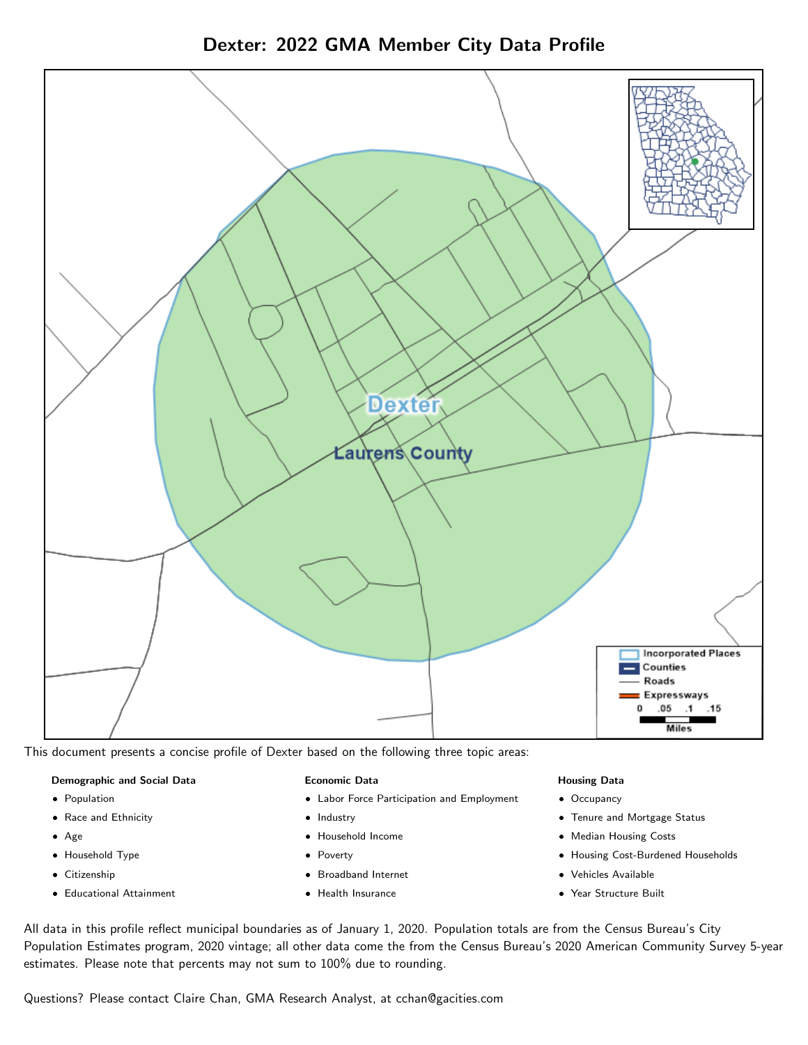Dexter: 2022 GMA Member City Data Profile



This document presents a concise profile of Dexter based on the following three topic areas:

### Demographic and Social Data

- **•** Population
- Race and Ethnicity
- Age
- Household Type
- **Citizenship**
- Educational Attainment

### Economic Data

- Labor Force Participation and Employment
- Industry
- Household Income
- Poverty
- Broadband Internet
- Health Insurance

### Housing Data

- Occupancy
- Tenure and Mortgage Status
- Median Housing Costs
- Housing Cost-Burdened Households
- Vehicles Available
- Year Structure Built

All data in this profile reflect municipal boundaries as of January 1, 2020. Population totals are from the Census Bureau's City Population Estimates program, 2020 vintage; all other data come the from the Census Bureau's 2020 American Community Survey 5-year estimates. Please note that percents may not sum to 100% due to rounding.

Questions? Please contact Claire Chan, GMA Research Analyst, at [cchan@gacities.com.](mailto:cchan@gacities.com)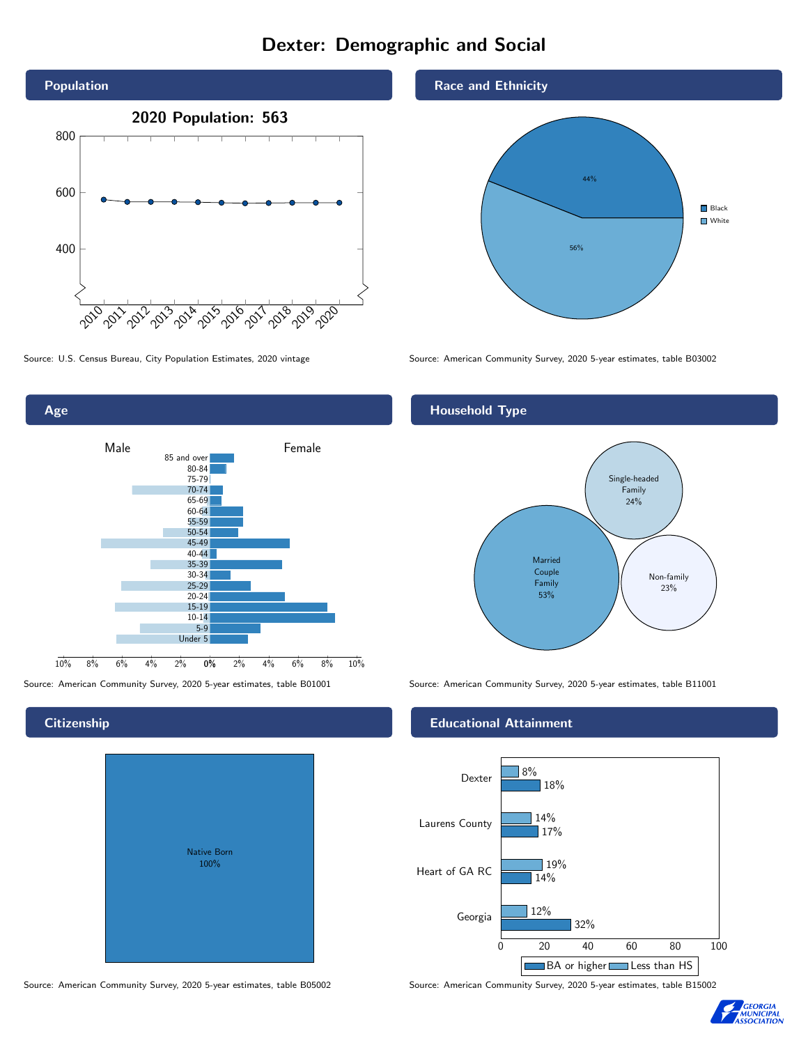## Dexter: Demographic and Social



0% 2% 4% 6% 8% 10% Male **Female** 10% 8% 6% 4% 2% 85 and over 80-84 75-79 70-74 65-69 60-64 55-59 50-54 45-49 40-44 35-39 30-34 25-29 20-24 15-19 10-14 5-9 Under 5

## **Citizenship**

Age

| Native Born<br>100% |  |
|---------------------|--|

## Race and Ethnicity



Source: U.S. Census Bureau, City Population Estimates, 2020 vintage Source: American Community Survey, 2020 5-year estimates, table B03002

## Household Type



Source: American Community Survey, 2020 5-year estimates, table B01001 Source: American Community Survey, 2020 5-year estimates, table B11001

## Educational Attainment



Source: American Community Survey, 2020 5-year estimates, table B05002 Source: American Community Survey, 2020 5-year estimates, table B15002

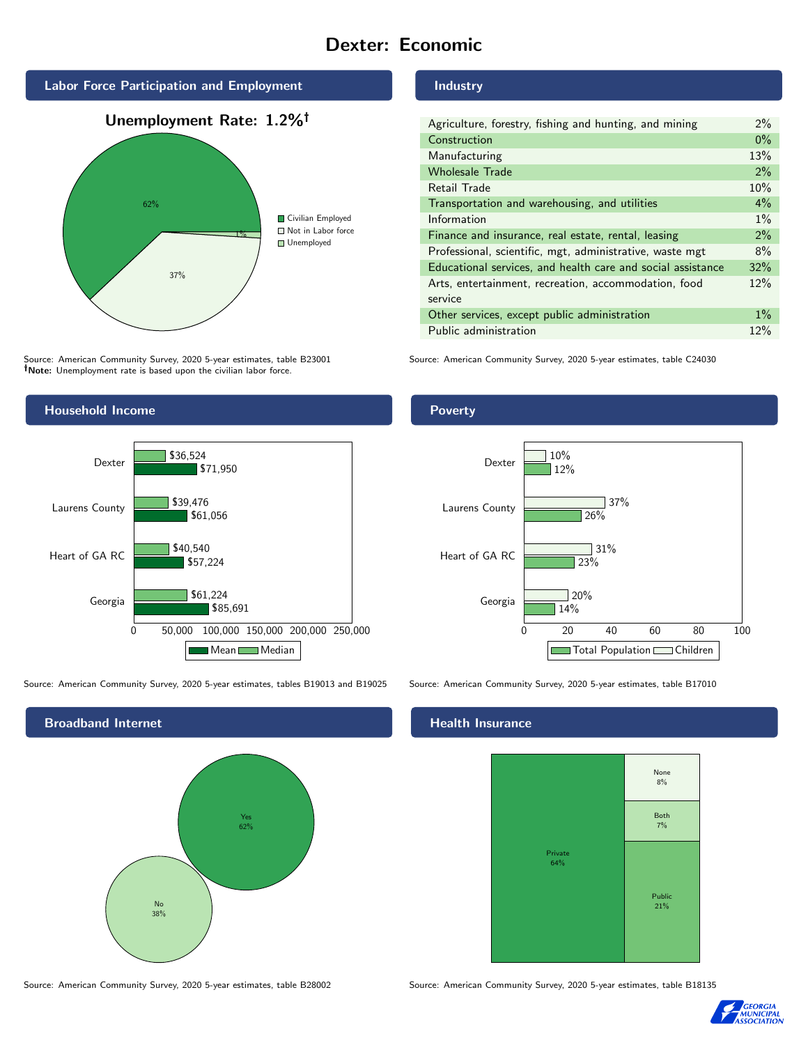## Dexter: Economic



Source: American Community Survey, 2020 5-year estimates, table B23001 Note: Unemployment rate is based upon the civilian labor force.



Source: American Community Survey, 2020 5-year estimates, tables B19013 and B19025 Source: American Community Survey, 2020 5-year estimates, table B17010



Industry

| Agriculture, forestry, fishing and hunting, and mining      |     |  |
|-------------------------------------------------------------|-----|--|
| Construction                                                |     |  |
| Manufacturing                                               | 13% |  |
| <b>Wholesale Trade</b>                                      | 2%  |  |
| Retail Trade                                                | 10% |  |
| Transportation and warehousing, and utilities               |     |  |
| Information                                                 |     |  |
| Finance and insurance, real estate, rental, leasing         |     |  |
| Professional, scientific, mgt, administrative, waste mgt    |     |  |
| Educational services, and health care and social assistance |     |  |
| Arts, entertainment, recreation, accommodation, food        |     |  |
| service                                                     |     |  |
| Other services, except public administration                |     |  |
| Public administration                                       |     |  |

Source: American Community Survey, 2020 5-year estimates, table C24030

Poverty



## **Health Insurance**



Source: American Community Survey, 2020 5-year estimates, table B28002 Source: American Community Survey, 2020 5-year estimates, table B18135